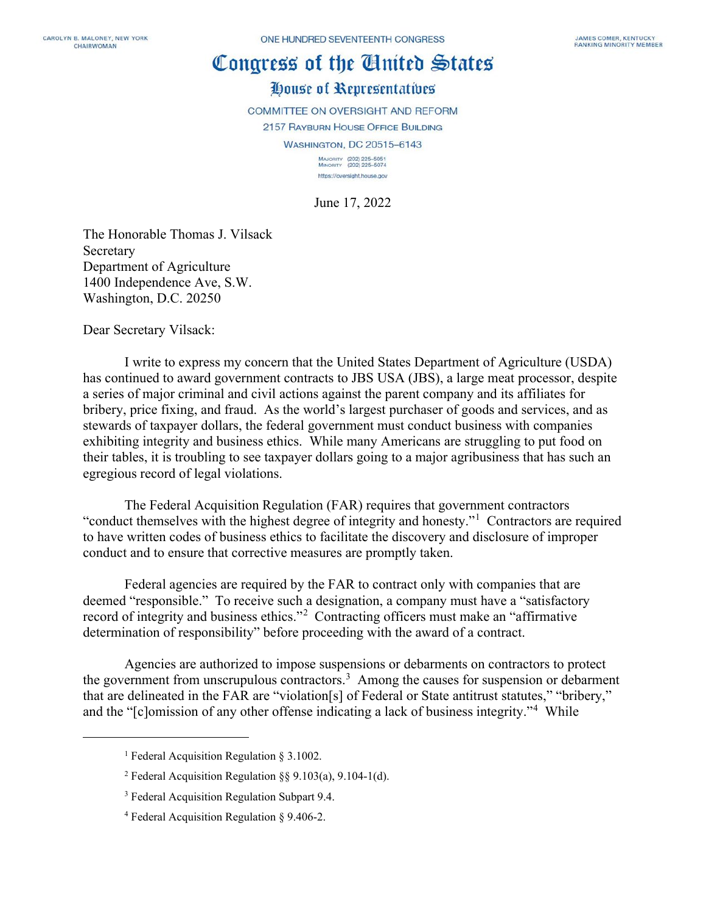## Congress of the Cluited States

## House of Representatives

COMMITTEE ON OVERSIGHT AND REFORM

2157 RAYBURN HOUSE OFFICE BUILDING

WASHINGTON, DC 20515-6143

MAJORITY (202) 225-5051<br>MINORITY (202) 225-5074 https://oversight.house.gov

June 17, 2022

The Honorable Thomas J. Vilsack Secretary Department of Agriculture 1400 Independence Ave, S.W. Washington, D.C. 20250

Dear Secretary Vilsack:

I write to express my concern that the United States Department of Agriculture (USDA) has continued to award government contracts to JBS USA (JBS), a large meat processor, despite a series of major criminal and civil actions against the parent company and its affiliates for bribery, price fixing, and fraud. As the world's largest purchaser of goods and services, and as stewards of taxpayer dollars, the federal government must conduct business with companies exhibiting integrity and business ethics. While many Americans are struggling to put food on their tables, it is troubling to see taxpayer dollars going to a major agribusiness that has such an egregious record of legal violations.

The Federal Acquisition Regulation (FAR) requires that government contractors "conduct themselves with the highest degree of integrity and honesty."<sup>[1](#page-0-0)</sup> Contractors are required to have written codes of business ethics to facilitate the discovery and disclosure of improper conduct and to ensure that corrective measures are promptly taken.

Federal agencies are required by the FAR to contract only with companies that are deemed "responsible." To receive such a designation, a company must have a "satisfactory record of integrity and business ethics."<sup>[2](#page-0-1)</sup> Contracting officers must make an "affirmative determination of responsibility" before proceeding with the award of a contract.

Agencies are authorized to impose suspensions or debarments on contractors to protect the government from unscrupulous contractors.<sup>[3](#page-0-2)</sup> Among the causes for suspension or debarment that are delineated in the FAR are "violation[s] of Federal or State antitrust statutes," "bribery," and the "[c]omission of any other offense indicating a lack of business integrity."<sup>[4](#page-0-3)</sup> While

<span id="page-0-0"></span><sup>&</sup>lt;sup>1</sup> Federal Acquisition Regulation § 3.1002.

<span id="page-0-1"></span><sup>&</sup>lt;sup>2</sup> Federal Acquisition Regulation  $\S$ § 9.103(a), 9.104-1(d).

<span id="page-0-2"></span><sup>&</sup>lt;sup>3</sup> Federal Acquisition Regulation Subpart 9.4.

<span id="page-0-3"></span><sup>4</sup> Federal Acquisition Regulation § 9.406-2.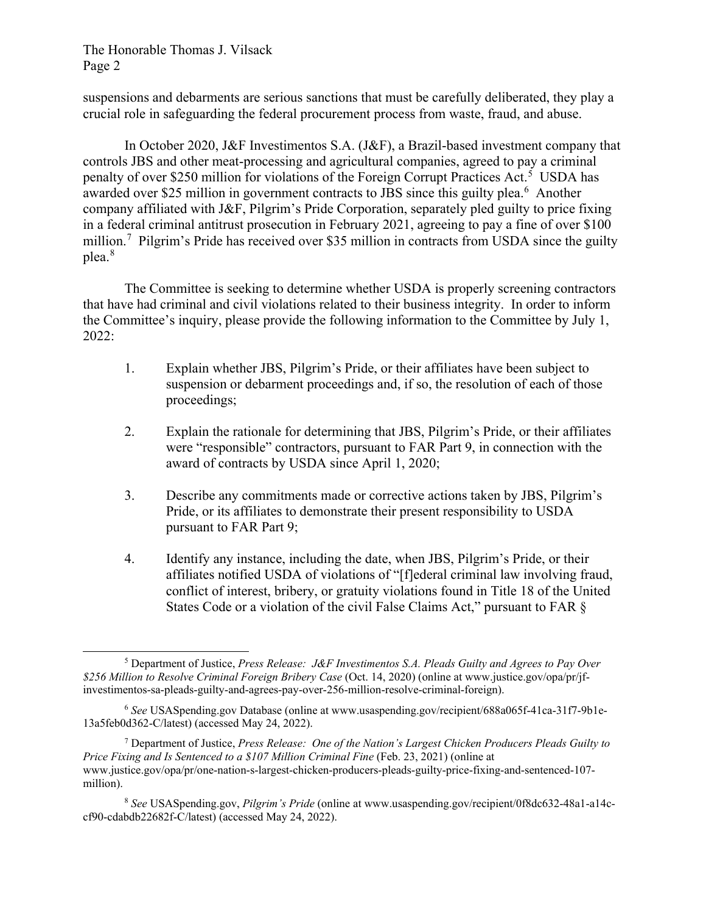The Honorable Thomas J. Vilsack Page 2

suspensions and debarments are serious sanctions that must be carefully deliberated, they play a crucial role in safeguarding the federal procurement process from waste, fraud, and abuse.

In October 2020, J&F Investimentos S.A. (J&F), a Brazil-based investment company that controls JBS and other meat-processing and agricultural companies, agreed to pay a criminal penalty of over \$2[5](#page-1-0)0 million for violations of the Foreign Corrupt Practices Act.<sup>5</sup> USDA has awarded over \$25 million in government contracts to JBS since this guilty plea.<sup>[6](#page-1-1)</sup> Another company affiliated with J&F, Pilgrim's Pride Corporation, separately pled guilty to price fixing in a federal criminal antitrust prosecution in February 2021, agreeing to pay a fine of over \$100 million.<sup>[7](#page-1-2)</sup> Pilgrim's Pride has received over \$35 million in contracts from USDA since the guilty plea. [8](#page-1-3)

The Committee is seeking to determine whether USDA is properly screening contractors that have had criminal and civil violations related to their business integrity. In order to inform the Committee's inquiry, please provide the following information to the Committee by July 1, 2022:

- 1. Explain whether JBS, Pilgrim's Pride, or their affiliates have been subject to suspension or debarment proceedings and, if so, the resolution of each of those proceedings;
- 2. Explain the rationale for determining that JBS, Pilgrim's Pride, or their affiliates were "responsible" contractors, pursuant to FAR Part 9, in connection with the award of contracts by USDA since April 1, 2020;
- 3. Describe any commitments made or corrective actions taken by JBS, Pilgrim's Pride, or its affiliates to demonstrate their present responsibility to USDA pursuant to FAR Part 9;
- 4. Identify any instance, including the date, when JBS, Pilgrim's Pride, or their affiliates notified USDA of violations of "[f]ederal criminal law involving fraud, conflict of interest, bribery, or gratuity violations found in Title 18 of the United States Code or a violation of the civil False Claims Act," pursuant to FAR §

<span id="page-1-2"></span><sup>7</sup> Department of Justice, *Press Release: One of the Nation's Largest Chicken Producers Pleads Guilty to Price Fixing and Is Sentenced to a \$107 Million Criminal Fine* (Feb. 23, 2021) (online at www.justice.gov/opa/pr/one-nation-s-largest-chicken-producers-pleads-guilty-price-fixing-and-sentenced-107 million).

<span id="page-1-0"></span><sup>5</sup> Department of Justice, *Press Release: J&F Investimentos S.A. Pleads Guilty and Agrees to Pay Over \$256 Million to Resolve Criminal Foreign Bribery Case* (Oct. 14, 2020) (online at www.justice.gov/opa/pr/jfinvestimentos-sa-pleads-guilty-and-agrees-pay-over-256-million-resolve-criminal-foreign).

<span id="page-1-1"></span><sup>6</sup> *See* USASpending.gov Database (online at www.usaspending.gov/recipient/688a065f-41ca-31f7-9b1e-13a5feb0d362-C/latest) (accessed May 24, 2022).

<span id="page-1-3"></span><sup>8</sup> *See* USASpending.gov, *Pilgrim's Pride* (online at www.usaspending.gov/recipient/0f8dc632-48a1-a14ccf90-cdabdb22682f-C/latest) (accessed May 24, 2022).